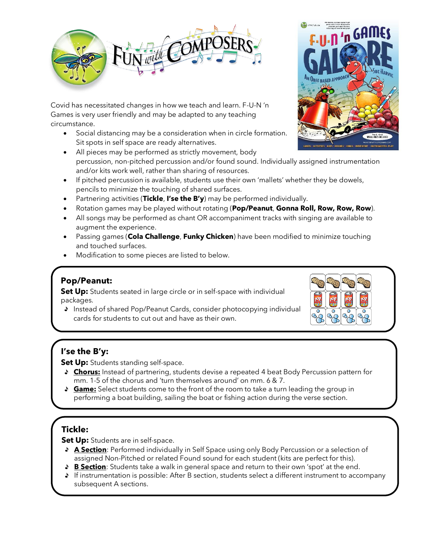

Covid has necessitated changes in how we teach and learn. F-U-N 'n Games is very user friendly and may be adapted to any teaching circumstance.

- Social distancing may be a consideration when in circle formation. Sit spots in self space are ready alternatives.
- All pieces may be performed as strictly movement, body percussion, non-pitched percussion and/or found sound. Individually assigned instrumentation and/or kits work well, rather than sharing of resources.
- If pitched percussion is available, students use their own 'mallets' whether they be dowels, pencils to minimize the touching of shared surfaces.
- Partnering activities (**Tickle**, **I'se the B'y**) may be performed individually.
- Rotation games may be played without rotating (**Pop/Peanut**, **Gonna Roll, Row, Row, Row**).
- All songs may be performed as chant OR accompaniment tracks with singing are available to augment the experience.
- Passing games (**Cola Challenge**, **Funky Chicken**) have been modified to minimize touching and touched surfaces.
- Modification to some pieces are listed to below.

### **Pop/Peanut:**

**Set Up:** Students seated in large circle or in self-space with individual packages.

Instead of shared Pop/Peanut Cards, consider photocopying individual cards for students to cut out and have as their own.

# **I'se the B'y:**

**Set Up:** Students standing self-space.

- **Chorus:** Instead of partnering, students devise a repeated 4 beat Body Percussion pattern for mm. 1-5 of the chorus and 'turn themselves around' on mm. 6 & 7.
- **Game:** Select students come to the front of the room to take a turn leading the group in performing a boat building, sailing the boat or fishing action during the verse section.

# **Tickle:**

**Set Up:** Students are in self-space.

- **A Section**: Performed individually in Self Space using only Body Percussion or a selection of assigned Non-Pitched or related Found sound for each student (kits are perfect for this).
- **B Section**: Students take a walk in general space and return to their own 'spot' at the end.
- If instrumentation is possible: After B section, students select a different instrument to accompany subsequent A sections.



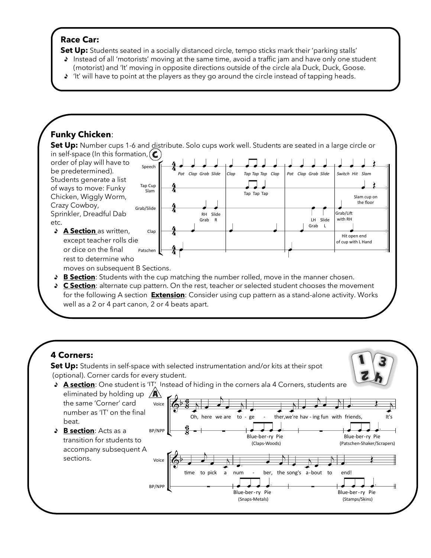#### **Race Car:**

۰

J,

**Set Up:** Students seated in a socially distanced circle, tempo sticks mark their 'parking stalls'

- Instead of all 'motorists' moving at the same time, avoid a traffic jam and have only one student (motorist) and 'It' moving in opposite directions outside of the circle ala Duck, Duck, Goose.
- 'It' will have to point at the players as they go around the circle instead of tapping heads.

# **Funky Chicken**:

**Set Up:** Number cups 1-6 and distribute. Solo cups work well. Students are seated in a large circle or in self-space (In this formation,  $\mathbf C$ 



for the following A section **Extension**: Consider using cup pattern as a stand-alone activity. Works well as a 2 or 4 part canon, 2 or 4 beats apart.